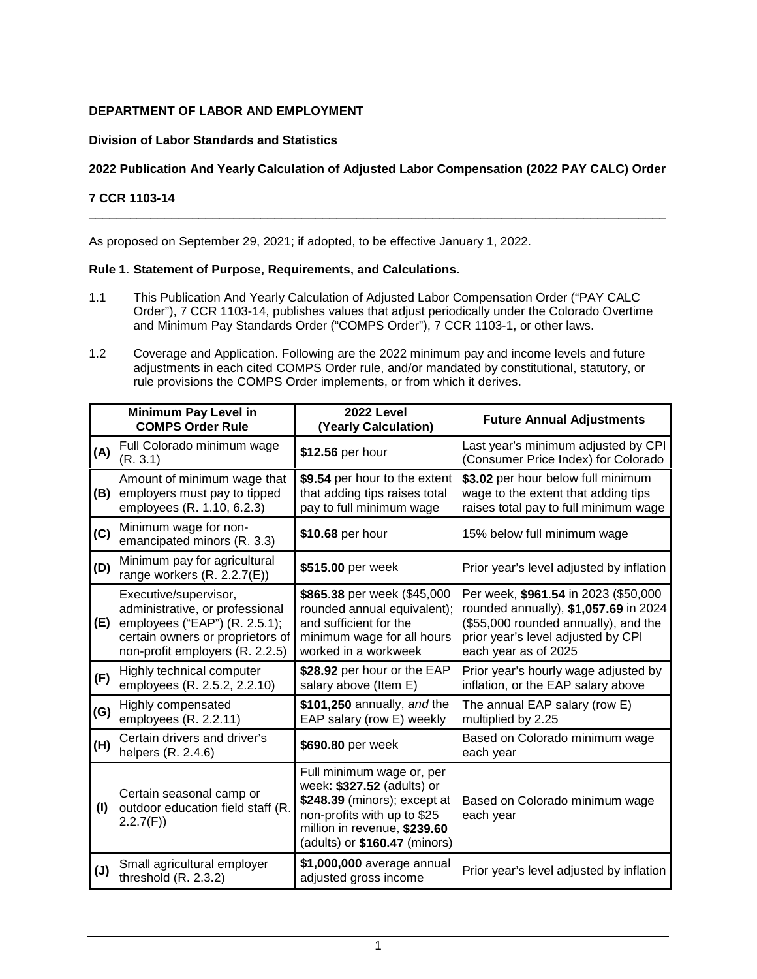# **DEPARTMENT OF LABOR AND EMPLOYMENT**

# **Division of Labor Standards and Statistics**

# **2022 Publication And Yearly Calculation of Adjusted Labor Compensation (2022 PAY CALC) Order**

\_\_\_\_\_\_\_\_\_\_\_\_\_\_\_\_\_\_\_\_\_\_\_\_\_\_\_\_\_\_\_\_\_\_\_\_\_\_\_\_\_\_\_\_\_\_\_\_\_\_\_\_\_\_\_\_\_\_\_\_\_\_\_\_\_\_\_\_\_\_\_\_\_\_\_\_\_\_\_\_\_\_\_\_

# **7 CCR 1103-14**

As proposed on September 29, 2021; if adopted, to be effective January 1, 2022.

### **Rule 1. Statement of Purpose, Requirements, and Calculations.**

- 1.1 This Publication And Yearly Calculation of Adjusted Labor Compensation Order ("PAY CALC Order"), 7 CCR 1103-14, publishes values that adjust periodically under the Colorado Overtime and Minimum Pay Standards Order ("COMPS Order"), 7 CCR 1103-1, or other laws.
- 1.2 Coverage and Application. Following are the 2022 minimum pay and income levels and future adjustments in each cited COMPS Order rule, and/or mandated by constitutional, statutory, or rule provisions the COMPS Order implements, or from which it derives.

|     | Minimum Pay Level in<br><b>COMPS Order Rule</b>                                                                                                                  | 2022 Level<br>(Yearly Calculation)                                                                                                                                                      | <b>Future Annual Adjustments</b>                                                                                                                                                    |
|-----|------------------------------------------------------------------------------------------------------------------------------------------------------------------|-----------------------------------------------------------------------------------------------------------------------------------------------------------------------------------------|-------------------------------------------------------------------------------------------------------------------------------------------------------------------------------------|
| (A) | Full Colorado minimum wage<br>(R. 3.1)                                                                                                                           | \$12.56 per hour                                                                                                                                                                        | Last year's minimum adjusted by CPI<br>(Consumer Price Index) for Colorado                                                                                                          |
| (B) | Amount of minimum wage that<br>employers must pay to tipped<br>employees (R. 1.10, 6.2.3)                                                                        | \$9.54 per hour to the extent<br>that adding tips raises total<br>pay to full minimum wage                                                                                              | \$3.02 per hour below full minimum<br>wage to the extent that adding tips<br>raises total pay to full minimum wage                                                                  |
| (C) | Minimum wage for non-<br>emancipated minors (R. 3.3)                                                                                                             | \$10.68 per hour                                                                                                                                                                        | 15% below full minimum wage                                                                                                                                                         |
| (D) | Minimum pay for agricultural<br>range workers $(R. 2.2.7(E))$                                                                                                    | \$515.00 per week                                                                                                                                                                       | Prior year's level adjusted by inflation                                                                                                                                            |
| (E) | Executive/supervisor,<br>administrative, or professional<br>employees ("EAP") (R. 2.5.1);<br>certain owners or proprietors of<br>non-profit employers (R. 2.2.5) | \$865.38 per week (\$45,000<br>rounded annual equivalent);<br>and sufficient for the<br>minimum wage for all hours<br>worked in a workweek                                              | Per week, \$961.54 in 2023 (\$50,000<br>rounded annually), \$1,057.69 in 2024<br>(\$55,000 rounded annually), and the<br>prior year's level adjusted by CPI<br>each year as of 2025 |
| (F) | Highly technical computer<br>employees (R. 2.5.2, 2.2.10)                                                                                                        | \$28.92 per hour or the EAP<br>salary above (Item E)                                                                                                                                    | Prior year's hourly wage adjusted by<br>inflation, or the EAP salary above                                                                                                          |
| (G) | Highly compensated<br>employees (R. 2.2.11)                                                                                                                      | \$101,250 annually, and the<br>EAP salary (row E) weekly                                                                                                                                | The annual EAP salary (row E)<br>multiplied by 2.25                                                                                                                                 |
| (H) | Certain drivers and driver's<br>helpers (R. 2.4.6)                                                                                                               | \$690.80 per week                                                                                                                                                                       | Based on Colorado minimum wage<br>each year                                                                                                                                         |
| (1) | Certain seasonal camp or<br>outdoor education field staff (R.<br>2.2.7(F)                                                                                        | Full minimum wage or, per<br>week: \$327.52 (adults) or<br>\$248.39 (minors); except at<br>non-profits with up to \$25<br>million in revenue, \$239.60<br>(adults) or \$160.47 (minors) | Based on Colorado minimum wage<br>each year                                                                                                                                         |
| (J) | Small agricultural employer<br>threshold (R. 2.3.2)                                                                                                              | \$1,000,000 average annual<br>adjusted gross income                                                                                                                                     | Prior year's level adjusted by inflation                                                                                                                                            |